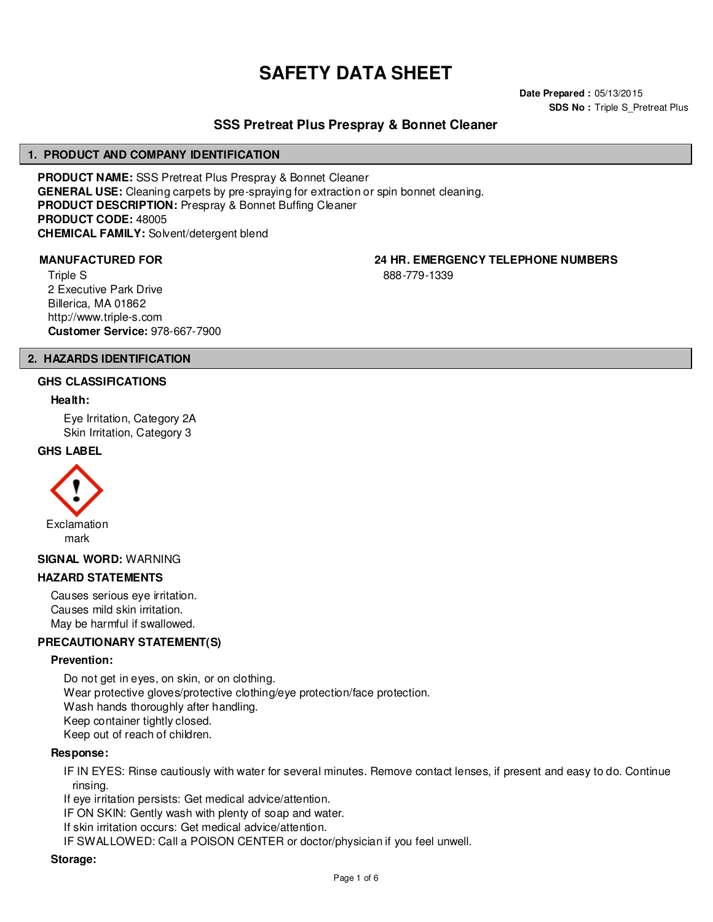# **SAFETY DATA SHEET**

**Date Prepared :** 05/13/2015 **SDS No : Triple S Pretreat Plus** 

# **SSS Pretreat Plus Prespray & Bonnet Cleaner**

#### **1. PRODUCT AND COMPANY IDENTIFICATION**

**PRODUCT NAME:** SSS Pretreat Plus Prespray & Bonnet Cleaner **GENERAL USE:** Cleaning carpets by pre-spraying for extraction or spin bonnet cleaning. **PRODUCT DESCRIPTION:** Prespray & Bonnet Buffing Cleaner **PRODUCT CODE:** 48005 **CHEMICAL FAMILY:** Solvent/detergent blend

Triple S 2 Executive Park Drive Billerica, MA 01862 http://www.triple-s.com **Customer Service:** 978-667-7900

**MANUFACTURED FOR 24 HR. EMERGENCY TELEPHONE NUMBERS**

888-779-1339

#### **2. HAZARDS IDENTIFICATION**

#### **GHS CLASSIFICATIONS**

#### **Health:**

Eye Irritation, Category 2A Skin Irritation, Category 3

#### **GHS LABEL**



#### **SIGNAL WORD:** WARNING

#### **HAZARD STATEMENTS**

Causes serious eye irritation. Causes mild skin irritation. May be harmful if swallowed.

#### **PRECAUTIONARY STATEMENT(S)**

#### **Prevention:**

Do not get in eyes, on skin, or on clothing. Wear protective gloves/protective clothing/eye protection/face protection. Wash hands thoroughly after handling. Keep container tightly closed. Keep out of reach of children.

#### **Response:**

IF IN EYES: Rinse cautiously with water for several minutes. Remove contact lenses, if present and easy to do. Continue rinsing.

If eye irritation persists: Get medical advice/attention.

IF ON SKIN: Gently wash with plenty of soap and water.

If skin irritation occurs: Get medical advice/attention.

IF SWALLOWED: Call a POISON CENTER or doctor/physician if you feel unwell.

#### **Storage:**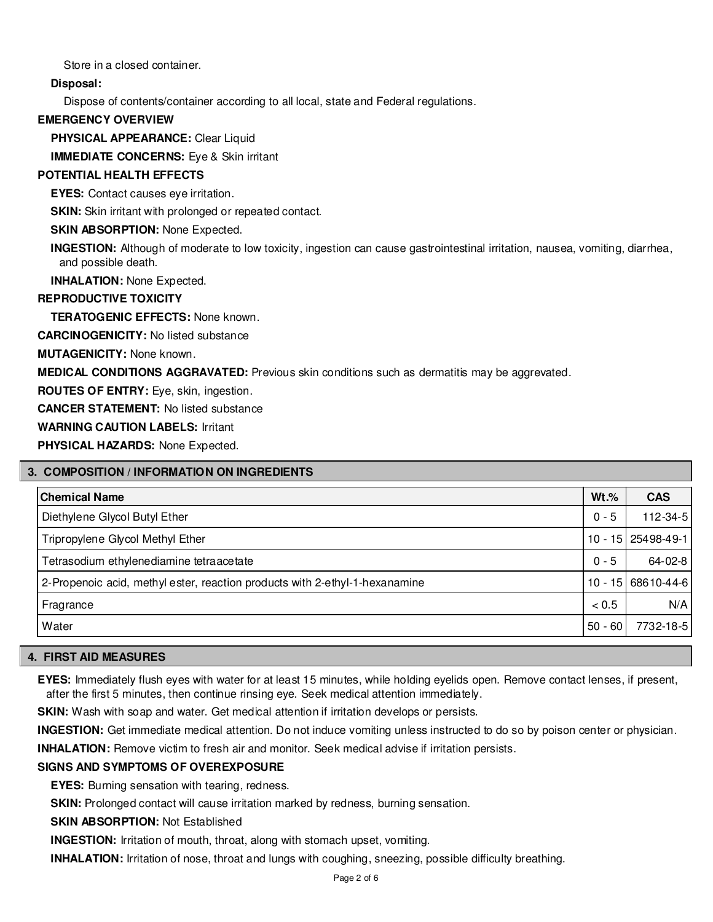Store in a closed container.

# **Disposal:**

Dispose of contents/container according to all local, state and Federal regulations.

#### **EMERGENCY OVERVIEW**

**PHYSICAL APPEARANCE:** Clear Liquid

**IMMEDIATE CONCERNS:** Eye & Skin irritant

## **POTENTIAL HEALTH EFFECTS**

**EYES:** Contact causes eye irritation.

**SKIN:** Skin irritant with prolonged or repeated contact.

## **SKIN ABSORPTION: None Expected.**

**INGESTION:** Although of moderate to low toxicity, ingestion can cause gastrointestinal irritation, nausea, vomiting, diarrhea, and possible death.

**INHALATION:** None Expected.

## **REPRODUCTIVE TOXICITY**

**TERATOGENIC EFFECTS:** None known.

**CARCINOGENICITY:** No listed substance

**MUTAGENICITY:** None known.

**MEDICAL CONDITIONS AGGRAVATED:** Previous skin conditions such as dermatitis may be aggrevated.

**ROUTES OF ENTRY:** Eye, skin, ingestion.

**CANCER STATEMENT:** No listed substance

**WARNING CAUTION LABELS:** Irritant

**PHYSICAL HAZARDS:** None Expected.

# **3. COMPOSITION / INFORMATION ON INGREDIENTS**

| <b>Chemical Name</b>                                                        | $Wt.\%$   | <b>CAS</b>         |
|-----------------------------------------------------------------------------|-----------|--------------------|
| Diethylene Glycol Butyl Ether                                               | $0 - 5$   | 112-34-5           |
| Tripropylene Glycol Methyl Ether                                            |           | 10 - 15 25498-49-1 |
| Tetrasodium ethylenediamine tetraacetate                                    | $0 - 5$   | $64 - 02 - 8$      |
| 2-Propenoic acid, methyl ester, reaction products with 2-ethyl-1-hexanamine |           | 10 - 15 68610-44-6 |
| Fragrance                                                                   | < 0.5     | N/A                |
| Water                                                                       | $50 - 60$ | 7732-18-5          |

# **4. FIRST AID MEASURES**

**EYES:** Immediately flush eyes with water for at least 15 minutes, while holding eyelids open. Remove contact lenses, if present, after the first 5 minutes, then continue rinsing eye. Seek medical attention immediately.

**SKIN:** Wash with soap and water. Get medical attention if irritation develops or persists.

**INGESTION:** Get immediate medical attention. Do not induce vomiting unless instructed to do so by poison center or physician.

**INHALATION:** Remove victim to fresh air and monitor. Seek medical advise if irritation persists.

# **SIGNS AND SYMPTOMS OF OVEREXPOSURE**

**EYES:** Burning sensation with tearing, redness.

**SKIN:** Prolonged contact will cause irritation marked by redness, burning sensation.

**SKIN ABSORPTION:** Not Established

**INGESTION:** Irritation of mouth, throat, along with stomach upset, vomiting.

**INHALATION:** Irritation of nose, throat and lungs with coughing, sneezing, possible difficulty breathing.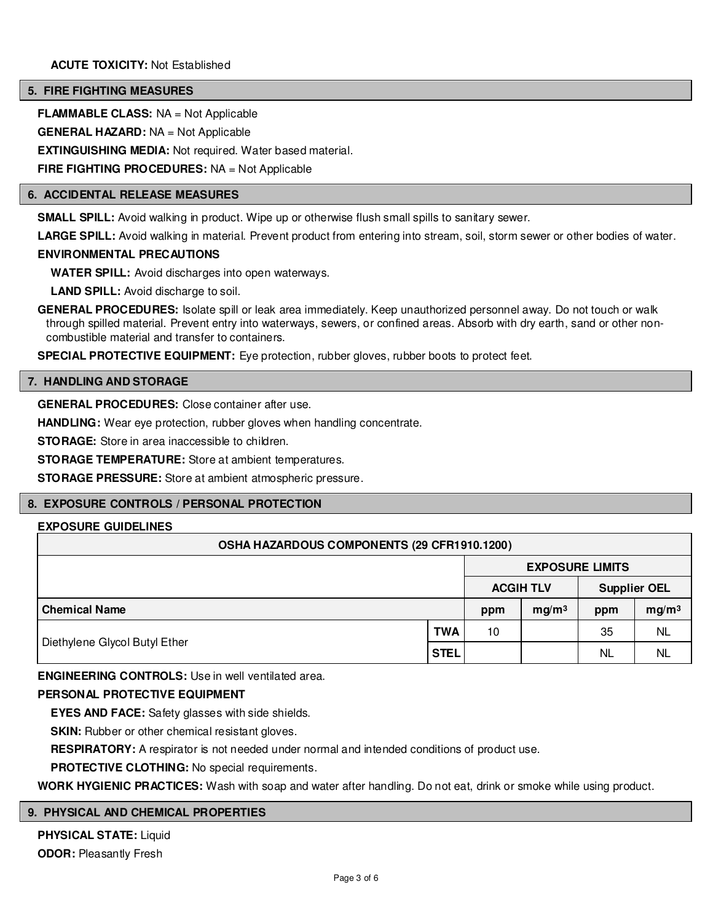#### **5. FIRE FIGHTING MEASURES**

**FLAMMABLE CLASS:** NA = Not Applicable

**GENERAL HAZARD:** NA = Not Applicable

**EXTINGUISHING MEDIA:** Not required. Water based material.

**FIRE FIGHTING PROCEDURES:** NA = Not Applicable

#### **6. ACCIDENTAL RELEASE MEASURES**

**SMALL SPILL:** Avoid walking in product. Wipe up or otherwise flush small spills to sanitary sewer.

LARGE SPILL: Avoid walking in material. Prevent product from entering into stream, soil, storm sewer or other bodies of water.

#### **ENVIRONMENTAL PRECAUTIONS**

**WATER SPILL:** Avoid discharges into open waterways.

**LAND SPILL:** Avoid discharge to soil.

**GENERAL PROCEDURES:** Isolate spill or leak area immediately. Keep unauthorized personnel away. Do not touch or walk through spilled material. Prevent entry into waterways, sewers, or confined areas. Absorb with dry earth, sand or other noncombustible material and transfer to containers.

**SPECIAL PROTECTIVE EQUIPMENT:** Eye protection, rubber gloves, rubber boots to protect feet.

#### **7. HANDLING AND STORAGE**

**GENERAL PROCEDURES:** Close container after use.

HANDLING: Wear eye protection, rubber gloves when handling concentrate.

**STORAGE:** Store in area inaccessible to children.

**STORAGE TEMPERATURE:** Store at ambient temperatures.

**STORAGE PRESSURE:** Store at ambient atmospheric pressure.

# **8. EXPOSURE CONTROLS / PERSONAL PROTECTION**

#### **EXPOSURE GUIDELINES**

| OSHA HAZARDOUS COMPONENTS (29 CFR1910.1200) |             |                        |                   |                     |                   |  |  |
|---------------------------------------------|-------------|------------------------|-------------------|---------------------|-------------------|--|--|
|                                             |             | <b>EXPOSURE LIMITS</b> |                   |                     |                   |  |  |
|                                             |             |                        | <b>ACGIH TLV</b>  | <b>Supplier OEL</b> |                   |  |  |
| <b>Chemical Name</b>                        |             | ppm                    | mg/m <sup>3</sup> | ppm                 | mg/m <sup>3</sup> |  |  |
|                                             | <b>TWA</b>  | 10                     |                   | 35                  | <b>NL</b>         |  |  |
| Diethylene Glycol Butyl Ether               | <b>STEL</b> |                        |                   | <b>NL</b>           | <b>NL</b>         |  |  |

**ENGINEERING CONTROLS:** Use in well ventilated area.

#### **PERSONAL PROTECTIVE EQUIPMENT**

**EYES AND FACE:** Safety glasses with side shields.

**SKIN:** Rubber or other chemical resistant gloves.

**RESPIRATORY:** A respirator is not needed under normal and intended conditions of product use.

**PROTECTIVE CLOTHING:** No special requirements.

**WORK HYGIENIC PRACTICES:** Wash with soap and water after handling. Do not eat, drink or smoke while using product.

# **9. PHYSICAL AND CHEMICAL PROPERTIES**

**PHYSICAL STATE:** Liquid **ODOR:** Pleasantly Fresh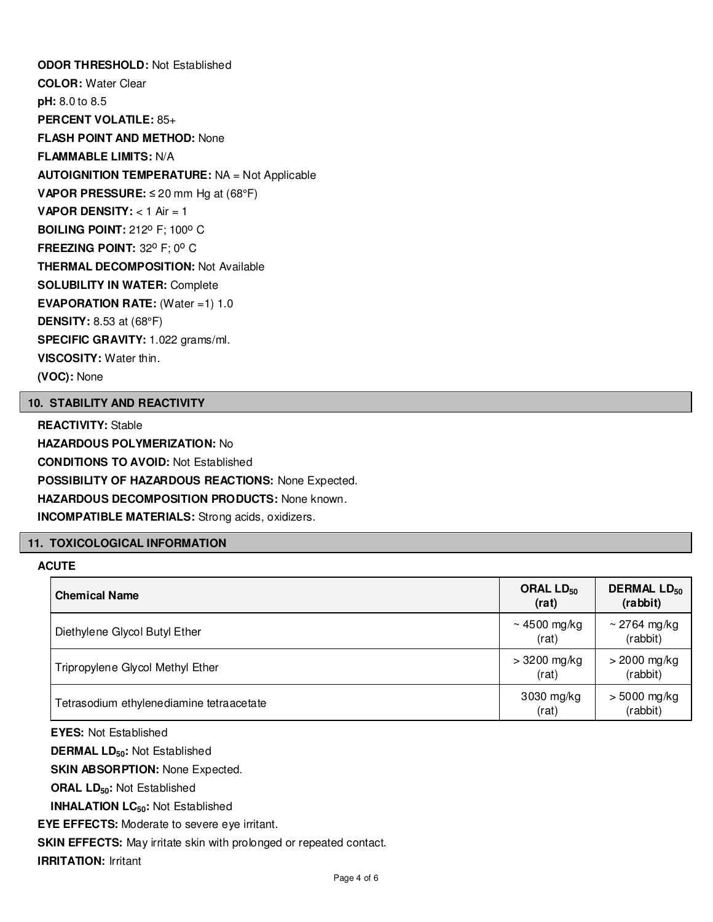**ODOR THRESHOLD:** Not Established **COLOR:** Water Clear **pH:** 8.0 to 8.5 **PERCENT VOLATILE:** 85+ **FLASH POINT AND METHOD:** None **FLAMMABLE LIMITS:** N/A **AUTOIGNITION TEMPERATURE:** NA = Not Applicable **VAPOR PRESSURE:** ≤ 20 mm Hg at (68°F) **VAPOR DENSITY:** < 1 Air = 1 **BOILING POINT: 212° F; 100° C FREEZING POINT: 32° F; 0° C THERMAL DECOMPOSITION:** Not Available **SOLUBILITY IN WATER:** Complete **EVAPORATION RATE:** (Water =1) 1.0 **DENSITY:** 8.53 at (68°F) **SPECIFIC GRAVITY:** 1.022 grams/ml. **VISCOSITY:** Water thin. **(VOC):** None

#### **10. STABILITY AND REACTIVITY**

**REACTIVITY:** Stable **HAZARDOUS POLYMERIZATION:** No **CONDITIONS TO AVOID:** Not Established **POSSIBILITY OF HAZARDOUS REACTIONS:** None Expected. **HAZARDOUS DECOMPOSITION PRODUCTS:** None known. **INCOMPATIBLE MATERIALS:** Strong acids, oxidizers.

# **11. TOXICOLOGICAL INFORMATION**

### **ACUTE**

| <b>Chemical Name</b>                     | ORAL $LD_{50}$<br>(rat) | <b>DERMAL LD<sub>50</sub></b><br>(rabbit) |
|------------------------------------------|-------------------------|-------------------------------------------|
| Diethylene Glycol Butyl Ether            | ~ 4500 mg/kg<br>(rat)   | ~ 2764 mg/kg<br>(rabbit)                  |
| Tripropylene Glycol Methyl Ether         | $>3200$ mg/kg<br>(rat)  | $>$ 2000 mg/kg<br>(rabbit)                |
| Tetrasodium ethylenediamine tetraacetate | 3030 mg/kg<br>(rat)     | $> 5000$ mg/kg<br>(rabbit)                |

**EYES:** Not Established

**DERMAL LD50:** Not Established

**SKIN ABSORPTION: None Expected.** 

**ORAL LD50:** Not Established

**INHALATION LC50:** Not Established

**EYE EFFECTS:** Moderate to severe eye irritant.

**SKIN EFFECTS:** May irritate skin with prolonged or repeated contact.

**IRRITATION:** Irritant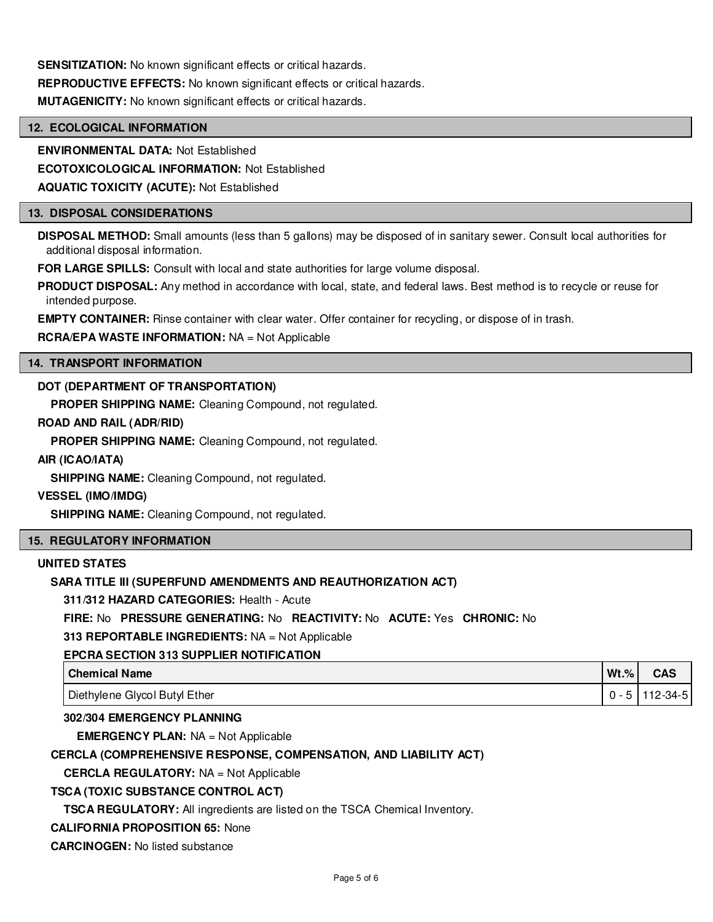**SENSITIZATION:** No known significant effects or critical hazards.

**REPRODUCTIVE EFFECTS:** No known significant effects or critical hazards.

**MUTAGENICITY:** No known significant effects or critical hazards.

#### **12. ECOLOGICAL INFORMATION**

**ENVIRONMENTAL DATA:** Not Established

**ECOTOXICOLOGICAL INFORMATION:** Not Established

**AQUATIC TOXICITY (ACUTE):** Not Established

#### **13. DISPOSAL CONSIDERATIONS**

**DISPOSAL METHOD:** Small amounts (less than 5 gallons) may be disposed of in sanitary sewer. Consult local authorities for additional disposal information.

**FOR LARGE SPILLS:** Consult with local and state authorities for large volume disposal.

**PRODUCT DISPOSAL:** Any method in accordance with local, state, and federal laws. Best method is to recycle or reuse for intended purpose.

**EMPTY CONTAINER:** Rinse container with clear water. Offer container for recycling, or dispose of in trash.

## **RCRA/EPA WASTE INFORMATION:** NA = Not Applicable

#### **14. TRANSPORT INFORMATION**

## **DOT (DEPARTMENT OF TRANSPORTATION)**

**PROPER SHIPPING NAME:** Cleaning Compound, not regulated.

## **ROAD AND RAIL (ADR/RID)**

**PROPER SHIPPING NAME:** Cleaning Compound, not regulated.

#### **AIR (ICAO/IATA)**

**SHIPPING NAME:** Cleaning Compound, not regulated.

#### **VESSEL (IMO/IMDG)**

**SHIPPING NAME:** Cleaning Compound, not regulated.

#### **15. REGULATORY INFORMATION**

# **UNITED STATES**

# **SARA TITLE III (SUPERFUND AMENDMENTS AND REAUTHORIZATION ACT)**

**311/312 HAZARD CATEGORIES:** Health - Acute

**FIRE:** No **PRESSURE GENERATING:** No **REACTIVITY:** No **ACUTE:** Yes **CHRONIC:** No

**313 REPORTABLE INGREDIENTS:** NA = Not Applicable

#### **EPCRA SECTION 313 SUPPLIER NOTIFICATION**

| <b>Chemical Name</b>          | $Wt.\%$ | <b>CAS</b> |
|-------------------------------|---------|------------|
| Diethylene Glycol Butyl Ether |         | 112-34-5   |

# **302/304 EMERGENCY PLANNING**

**EMERGENCY PLAN:** NA = Not Applicable

# **CERCLA (COMPREHENSIVE RESPONSE, COMPENSATION, AND LIABILITY ACT)**

**CERCLA REGULATORY:** NA = Not Applicable

# **TSCA (TOXIC SUBSTANCE CONTROL ACT)**

**TSCA REGULATORY:** All ingredients are listed on the TSCA Chemical Inventory.

#### **CALIFORNIA PROPOSITION 65:** None

**CARCINOGEN:** No listed substance